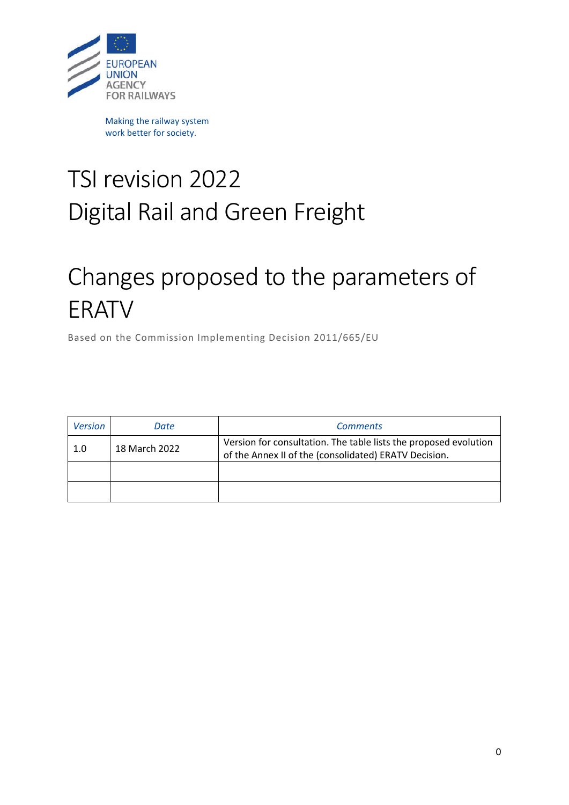

Making the railway system work better for society.

## TSI revision 2022 Digital Rail and Green Freight

## Changes proposed to the parameters of ERATV

Based on the Commission Implementing Decision 2011/665/EU

| <b>Version</b> | Date          | <b>Comments</b>                                                                                                           |
|----------------|---------------|---------------------------------------------------------------------------------------------------------------------------|
| 1.0            | 18 March 2022 | Version for consultation. The table lists the proposed evolution<br>of the Annex II of the (consolidated) ERATV Decision. |
|                |               |                                                                                                                           |
|                |               |                                                                                                                           |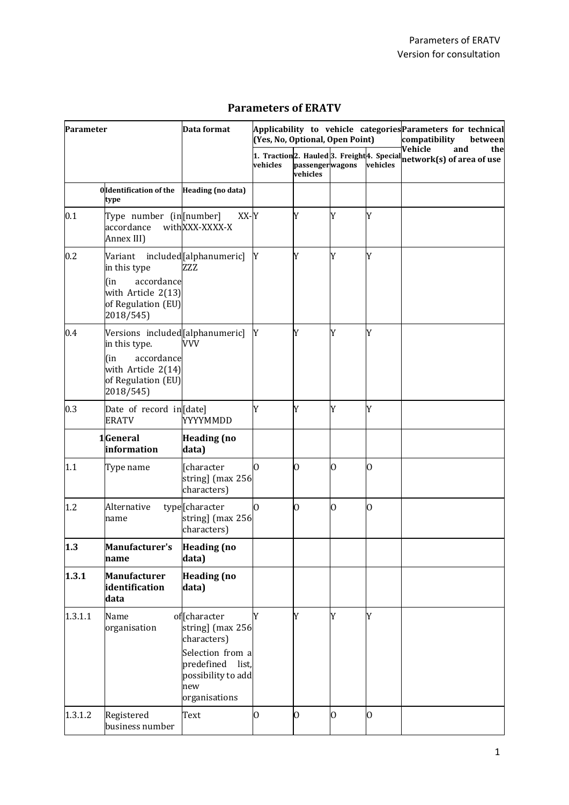| Parameter |                                                                                                                                | Data format                                                                                                                           | (Yes, No, Optional, Open Point) |                             | Applicability to vehicle categories Parameters for technical<br>compatibility<br>between |             |                                                                                                            |
|-----------|--------------------------------------------------------------------------------------------------------------------------------|---------------------------------------------------------------------------------------------------------------------------------------|---------------------------------|-----------------------------|------------------------------------------------------------------------------------------|-------------|------------------------------------------------------------------------------------------------------------|
|           |                                                                                                                                |                                                                                                                                       | vehicles                        | passengerwagons<br>vehicles |                                                                                          | vehicles    | Vehicle<br>and<br>the<br>1. Traction <sup>2</sup> . Hauled 3. Freight 4. Special network(s) of area of use |
|           | <b>Oldentification of the</b><br>type                                                                                          | Heading (no data)                                                                                                                     |                                 |                             |                                                                                          |             |                                                                                                            |
| 0.1       | Type number (in [number]<br>accordance<br>Annex III)                                                                           | XX-Y<br>withXXX-XXXX-X                                                                                                                |                                 | Y                           | Y                                                                                        | Y           |                                                                                                            |
| 0.2       | Variant included [alphanumeric]<br>in this type<br>accordance<br>(in<br>with Article 2(13)<br>of Regulation (EU)<br>2018/545)  | ZZZ                                                                                                                                   | Y                               | Y                           | Y                                                                                        | Y           |                                                                                                            |
| 0.4       | Versions included[alphanumeric]<br>in this type.<br>accordance<br>(in<br>with Article 2(14)<br>of Regulation (EU)<br>2018/545) | <b>VVV</b>                                                                                                                            | Y                               | Y                           | Y                                                                                        | Y           |                                                                                                            |
| 0.3       | Date of record in[date]<br><b>ERATV</b>                                                                                        | YYYYMMDD                                                                                                                              | Y                               | Y                           | Y                                                                                        | Y           |                                                                                                            |
|           | 1General<br>information                                                                                                        | <b>Heading</b> (no<br>data)                                                                                                           |                                 |                             |                                                                                          |             |                                                                                                            |
| 1.1       | Type name                                                                                                                      | [character<br>string] (max 256<br>characters)                                                                                         | 0                               | $\overline{0}$              | $\overline{0}$                                                                           | 0           |                                                                                                            |
| 1.2       | Alternative<br>name                                                                                                            | type <sup>[character</sup><br>string] (max 256<br>characters)                                                                         | $\Omega$                        | $\overline{0}$              | $\overline{0}$                                                                           | 0           |                                                                                                            |
| 1.3       | <b>Manufacturer's</b><br>name                                                                                                  | <b>Heading</b> (no<br>data)                                                                                                           |                                 |                             |                                                                                          |             |                                                                                                            |
| 1.3.1     | Manufacturer<br>identification<br>data                                                                                         | <b>Heading (no</b><br>data)                                                                                                           |                                 |                             |                                                                                          |             |                                                                                                            |
| 1.3.1.1   | Name<br>organisation                                                                                                           | offcharacter<br>string] (max 256<br>characters)<br>Selection from a<br>predefined list,<br>possibility to add<br>new<br>organisations | Y                               | Y                           | Y                                                                                        | Y           |                                                                                                            |
| 1.3.1.2   | Registered<br>business number                                                                                                  | Text                                                                                                                                  | 0                               | $\overline{0}$              | $\overline{0}$                                                                           | $\mathbf 0$ |                                                                                                            |

## **Parameters of ERATV**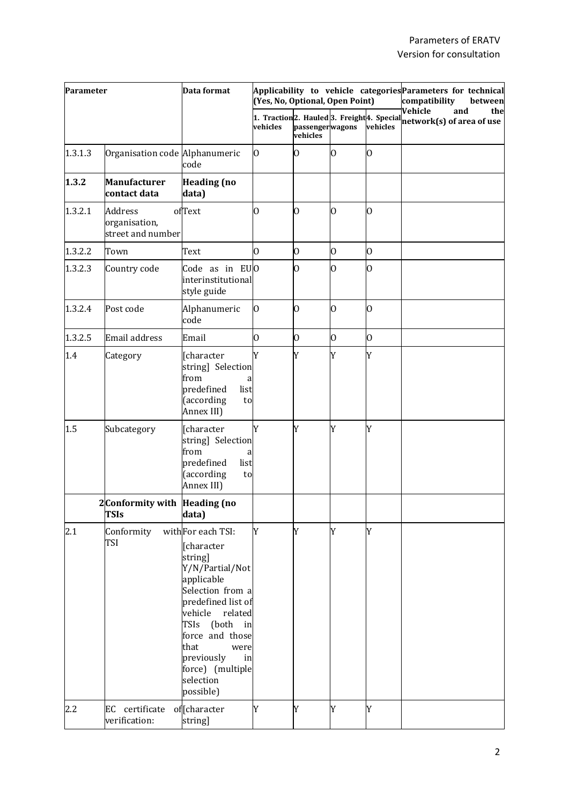| Parameter |                                                      | Data format                                                                                                                                                                                                                                                          | (Yes, No, Optional, Open Point)                                                             |                             | Applicability to vehicle categories Parameters for technical<br>compatibility<br>between |                |                                                    |
|-----------|------------------------------------------------------|----------------------------------------------------------------------------------------------------------------------------------------------------------------------------------------------------------------------------------------------------------------------|---------------------------------------------------------------------------------------------|-----------------------------|------------------------------------------------------------------------------------------|----------------|----------------------------------------------------|
|           |                                                      |                                                                                                                                                                                                                                                                      | 1. Traction <sub>2</sub> . Hauled <sup>3</sup> . Freight <sup>4</sup> . Special<br>vehicles | passengerwagons<br>vehicles |                                                                                          | vehicles       | Vehicle<br>and<br>the<br>network(s) of area of use |
| 1.3.1.3   | Organisation code Alphanumeric                       | code                                                                                                                                                                                                                                                                 | 0                                                                                           | $\overline{0}$              | 0                                                                                        | 0              |                                                    |
| 1.3.2     | <b>Manufacturer</b><br>contact data                  | <b>Heading</b> (no<br>data)                                                                                                                                                                                                                                          |                                                                                             |                             |                                                                                          |                |                                                    |
| 1.3.2.1   | <b>Address</b><br>organisation,<br>street and number | ofText                                                                                                                                                                                                                                                               | O                                                                                           | $\overline{0}$              | O.                                                                                       | 0              |                                                    |
| 1.3.2.2   | Town                                                 | Text                                                                                                                                                                                                                                                                 | O                                                                                           | $\overline{0}$              | 0                                                                                        | 0              |                                                    |
| 1.3.2.3   | Country code                                         | Code as in EUO<br>interinstitutional<br>style guide                                                                                                                                                                                                                  |                                                                                             | $\overline{0}$              | Ю                                                                                        | 0              |                                                    |
| 1.3.2.4   | Post code                                            | Alphanumeric<br>code                                                                                                                                                                                                                                                 | $\overline{0}$                                                                              | $\overline{0}$              | 0                                                                                        | $\overline{0}$ |                                                    |
| 1.3.2.5   | Email address                                        | Email                                                                                                                                                                                                                                                                | 0                                                                                           | 0                           | $\mathbf 0$                                                                              | $\overline{0}$ |                                                    |
| 1.4       | Category                                             | [character<br>string] Selection<br>from<br>a<br>predefined<br>list<br>(according<br>to<br>Annex III)                                                                                                                                                                 | Y                                                                                           | Y                           | Y                                                                                        | Y              |                                                    |
| 1.5       | Subcategory                                          | [character<br>string] Selection<br>from<br>a<br>predefined<br>list<br>(according<br>to<br>Annex III)                                                                                                                                                                 | Y                                                                                           | Y                           | Y                                                                                        | Y              |                                                    |
|           | 2 Conformity with Heading (no<br>TSIs                | data)                                                                                                                                                                                                                                                                |                                                                                             |                             |                                                                                          |                |                                                    |
| 2.1       | Conformity<br><b>TSI</b>                             | withFor each TSI:<br>[character<br>string]<br>Y/N/Partial/Not<br>applicable<br>Selection from a<br>predefined list of<br>vehicle<br>related<br>TSIs (both<br>in<br>force and those<br>that<br>were<br>previously<br>in<br>force) (multiple<br>selection<br>possible) | Y                                                                                           | Y                           | Y                                                                                        | Y              |                                                    |
| 2.2       | certificate<br>EC<br>verification:                   | offcharacter<br>string]                                                                                                                                                                                                                                              | Y                                                                                           | Y                           | Y                                                                                        | Y              |                                                    |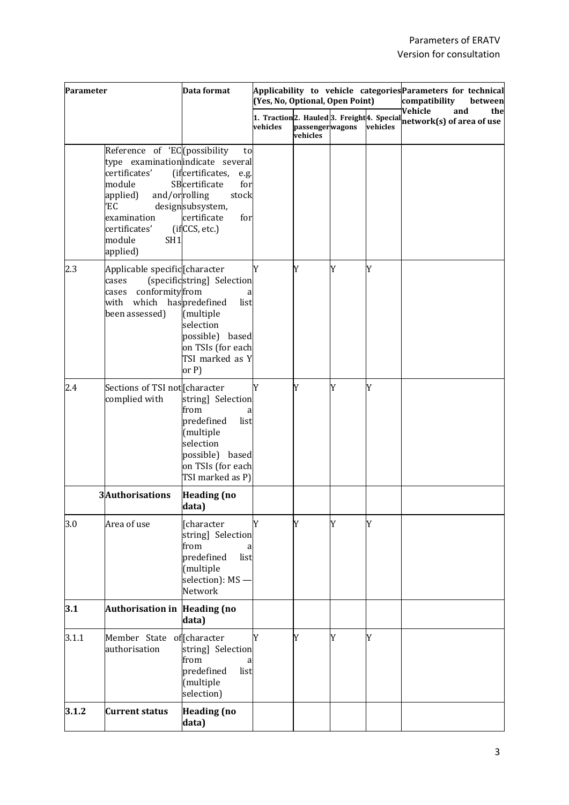| Parameter |                                                                                                                                                                                               | Data format                                                                                                                                          | (Yes, No, Optional, Open Point) |                             | Applicability to vehicle categories Parameters for technical<br>compatibility<br>between |          |                                                                                                     |     |
|-----------|-----------------------------------------------------------------------------------------------------------------------------------------------------------------------------------------------|------------------------------------------------------------------------------------------------------------------------------------------------------|---------------------------------|-----------------------------|------------------------------------------------------------------------------------------|----------|-----------------------------------------------------------------------------------------------------|-----|
|           |                                                                                                                                                                                               |                                                                                                                                                      | vehicles                        | passengerwagons<br>vehicles |                                                                                          | vehicles | Vehicle<br>and<br>1. Traction <sup>2</sup> . Hauled 3. Freight 4. Special network(s) of area of use | the |
|           | Reference of 'EC (possibility<br>type examination indicate several<br>certificates'<br>module<br>applied)<br>and/orrolling<br>ΈC<br>examination<br>certificates'<br>module<br>SH1<br>applied) | to<br>(ifcertificates,<br>e.g.<br>SBcertificate<br>for<br>stock<br>designsubsystem,<br>certificate<br>for<br>(ifCCS, etc.)                           |                                 |                             |                                                                                          |          |                                                                                                     |     |
| 2.3       | Applicable specific character<br>cases<br>conformityfrom<br>cases<br>which<br>with<br>been assessed)                                                                                          | (specificstring] Selection<br>haspredefined<br>list<br>(multiple<br>selection<br>possible)<br>based<br>on TSIs (for each<br>TSI marked as Y<br>or P) | Y                               | Y                           | Y                                                                                        | Y        |                                                                                                     |     |
| 2.4       | Sections of TSI not [character<br>complied with                                                                                                                                               | string] Selection<br>from<br>a<br>predefined<br>list<br>(multiple<br>selection<br>possible)<br>based<br>on TSIs (for each<br>TSI marked as P)        | Y                               | Y                           | Y                                                                                        | Y        |                                                                                                     |     |
|           | 3Authorisations                                                                                                                                                                               | <b>Heading</b> (no<br>data)                                                                                                                          |                                 |                             |                                                                                          |          |                                                                                                     |     |
| 3.0       | Area of use                                                                                                                                                                                   | [character<br>string] Selection<br>from<br>a<br>predefined<br>list<br>(multiple<br>selection): MS -<br>Network                                       | Y                               | Y                           | Y                                                                                        | Y        |                                                                                                     |     |
| 3.1       | Authorisation in Heading (no                                                                                                                                                                  | data)                                                                                                                                                |                                 |                             |                                                                                          |          |                                                                                                     |     |
| 3.1.1     | Member State of Character<br>authorisation                                                                                                                                                    | string] Selection<br>from<br>a<br>predefined<br>list<br>(multiple<br>selection)                                                                      | Y                               | Y                           | Y                                                                                        | Y        |                                                                                                     |     |
| 3.1.2     | <b>Current status</b>                                                                                                                                                                         | <b>Heading</b> (no<br>data)                                                                                                                          |                                 |                             |                                                                                          |          |                                                                                                     |     |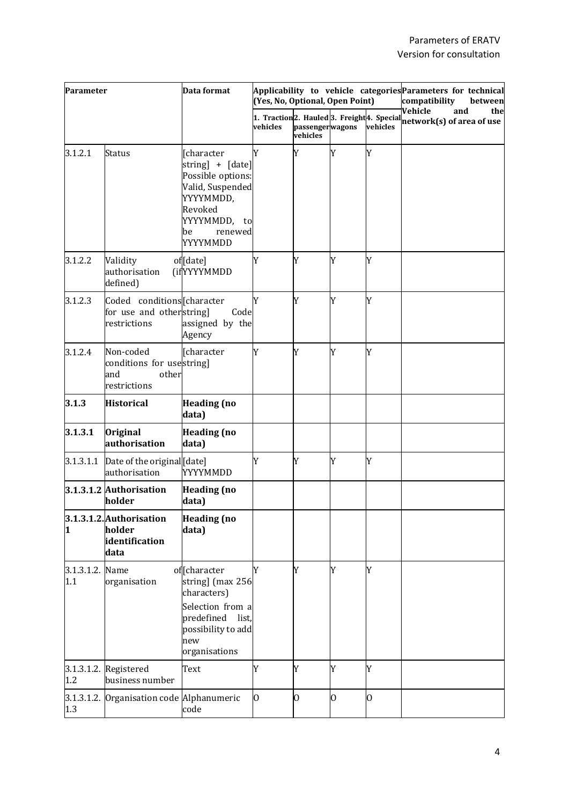| Parameter         |                                                                         | Data format                                                                                                                                           | (Yes, No, Optional, Open Point) |                             | Applicability to vehicle categories Parameters for technical<br>compatibility<br>between |          |                                                                                               |
|-------------------|-------------------------------------------------------------------------|-------------------------------------------------------------------------------------------------------------------------------------------------------|---------------------------------|-----------------------------|------------------------------------------------------------------------------------------|----------|-----------------------------------------------------------------------------------------------|
|                   |                                                                         |                                                                                                                                                       | vehicles                        | passengerwagons<br>vehicles |                                                                                          | vehicles | Vehicle<br>and<br>the<br>1. Traction2. Hauled 3. Freight 4. Special network(s) of area of use |
| 3.1.2.1           | Status                                                                  | [character<br>string] + [date]<br>Possible options:<br>Valid, Suspended<br>YYYYMMDD,<br>Revoked<br>YYYYMMDD,<br>to<br>renewed<br>be<br>YYYYMMDD       | Y                               | Y                           | Y                                                                                        | Y        |                                                                                               |
| 3.1.2.2           | Validity<br>authorisation<br>defined)                                   | of[date]<br>(ifYYYYMMDD                                                                                                                               | Y                               | Y                           | Y                                                                                        | Y        |                                                                                               |
| 3.1.2.3           | Coded conditions [character<br>for use and otherstring]<br>restrictions | Code<br>assigned by the<br>Agency                                                                                                                     | Y                               | Y                           | Y                                                                                        | Y        |                                                                                               |
| 3.1.2.4           | Non-coded<br>conditions for usestring]<br>and<br>other<br>restrictions  | [character                                                                                                                                            | Y                               | Y                           | Y                                                                                        | Y        |                                                                                               |
| 3.1.3             | <b>Historical</b>                                                       | <b>Heading (no</b><br>data)                                                                                                                           |                                 |                             |                                                                                          |          |                                                                                               |
| 3.1.3.1           | <b>Original</b><br>authorisation                                        | <b>Heading (no</b><br>data)                                                                                                                           |                                 |                             |                                                                                          |          |                                                                                               |
| 3.1.3.1.1         | Date of the original [date]<br>authorisation                            | YYYYMMDD                                                                                                                                              | Y                               | Y                           | Y                                                                                        | Y        |                                                                                               |
|                   | 3.1.3.1.2 Authorisation<br>holder                                       | <b>Heading</b> (no<br>data)                                                                                                                           |                                 |                             |                                                                                          |          |                                                                                               |
| 1                 | 3.1.3.1.2. Authorisation<br>holder<br>identification<br>data            | <b>Heading</b> (no<br>data)                                                                                                                           |                                 |                             |                                                                                          |          |                                                                                               |
| 3.1.3.1.2.<br>1.1 | Name<br>organisation                                                    | of <sup>[character]</sup><br>string] (max 256<br>characters)<br>Selection from a<br>predefined<br>list,<br>possibility to add<br>new<br>organisations | Y                               | Y                           | Y                                                                                        | Y        |                                                                                               |
| 3.1.3.1.2.<br>1.2 | Registered<br>business number                                           | Text                                                                                                                                                  | Y                               | Y                           | Y                                                                                        | Y        |                                                                                               |
| 1.3               | 3.1.3.1.2. Organisation code Alphanumeric                               | code                                                                                                                                                  | $\overline{0}$                  | 0                           | Ю                                                                                        | 0        |                                                                                               |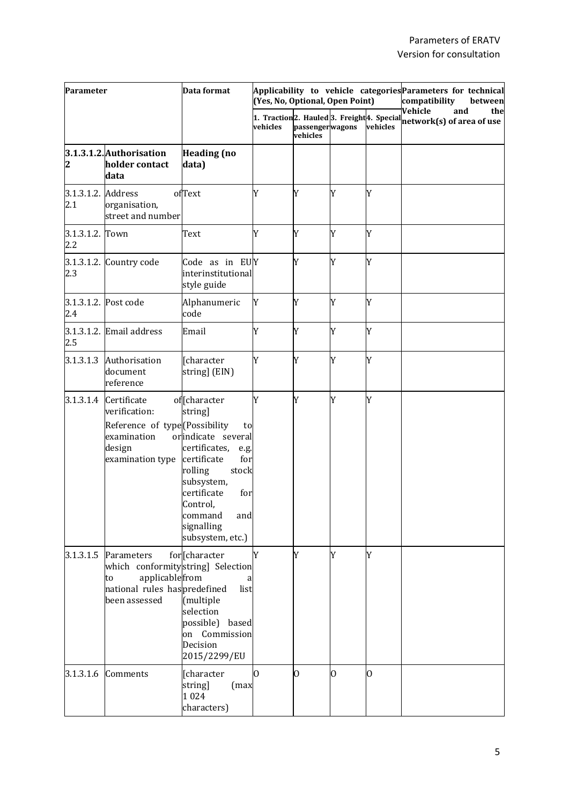| Parameter                 |                                                                                                                                                | Data format                                                                                                                                                                                                  | (Yes, No, Optional, Open Point) |                             |   | Applicability to vehicle categories Parameters for technical<br>compatibility<br>between |                                                                                         |     |
|---------------------------|------------------------------------------------------------------------------------------------------------------------------------------------|--------------------------------------------------------------------------------------------------------------------------------------------------------------------------------------------------------------|---------------------------------|-----------------------------|---|------------------------------------------------------------------------------------------|-----------------------------------------------------------------------------------------|-----|
|                           |                                                                                                                                                |                                                                                                                                                                                                              | vehicles                        | passengerwagons<br>vehicles |   | vehicles                                                                                 | Vehicle<br>and<br>1. Traction 2. Hauled 3. Freight 4. Special network(s) of area of use | the |
| 2                         | 3.1.3.1.2. Authorisation<br>holder contact<br>data                                                                                             | <b>Heading (no</b><br>data)                                                                                                                                                                                  |                                 |                             |   |                                                                                          |                                                                                         |     |
| 3.1.3.1.2. Address<br>2.1 | organisation,<br>street and number                                                                                                             | ofText                                                                                                                                                                                                       | Y                               | Y                           | Y | Y                                                                                        |                                                                                         |     |
| 3.1.3.1.2. Town<br>2.2    |                                                                                                                                                | Text                                                                                                                                                                                                         | Y                               | Y                           | Y | Y                                                                                        |                                                                                         |     |
| 2.3                       | 3.1.3.1.2. Country code                                                                                                                        | Code as in EUY<br>interinstitutional<br>style guide                                                                                                                                                          |                                 | Y                           | Y | Y                                                                                        |                                                                                         |     |
| 2.4                       | 3.1.3.1.2. Post code                                                                                                                           | Alphanumeric<br>code                                                                                                                                                                                         | Y                               | Y                           | Y | Y                                                                                        |                                                                                         |     |
| 2.5                       | $3.1.3.1.2$ . Email address                                                                                                                    | Email                                                                                                                                                                                                        | Y                               | Y                           | Y | Y                                                                                        |                                                                                         |     |
| 3.1.3.1.3                 | Authorisation<br>document<br>reference                                                                                                         | [character<br>string] (EIN)                                                                                                                                                                                  | Y                               | Y                           | Y | Y                                                                                        |                                                                                         |     |
|                           | 3.1.3.1.4 Certificate<br>verification:<br>Reference of type <sup>[</sup> [Possibility<br>examination<br>design<br>examination type certificate | of [character<br>string]<br>to<br>orindicate several<br>certificates,<br>e.g.<br>for<br>rolling<br>stock<br>subsystem,<br>certificate<br>for<br>Control,<br>command<br>and<br>signalling<br>subsystem, etc.) | Y                               | Y                           | Y | Y                                                                                        |                                                                                         |     |
| 3.1.3.1.5                 | Parameters<br>which conformitystring] Selection<br>applicablefrom<br>to<br>national rules haspredefined<br>been assessed                       | for [character<br>list<br>(multiple<br>selection<br>possible)<br>based<br>on Commission<br>Decision<br>2015/2299/EU                                                                                          | Y                               | Y                           | Y | Y                                                                                        |                                                                                         |     |
| 3.1.3.1.6                 | Comments                                                                                                                                       | [character<br>string]<br>(max<br>1024<br>characters)                                                                                                                                                         | 0                               | O                           | O | 0                                                                                        |                                                                                         |     |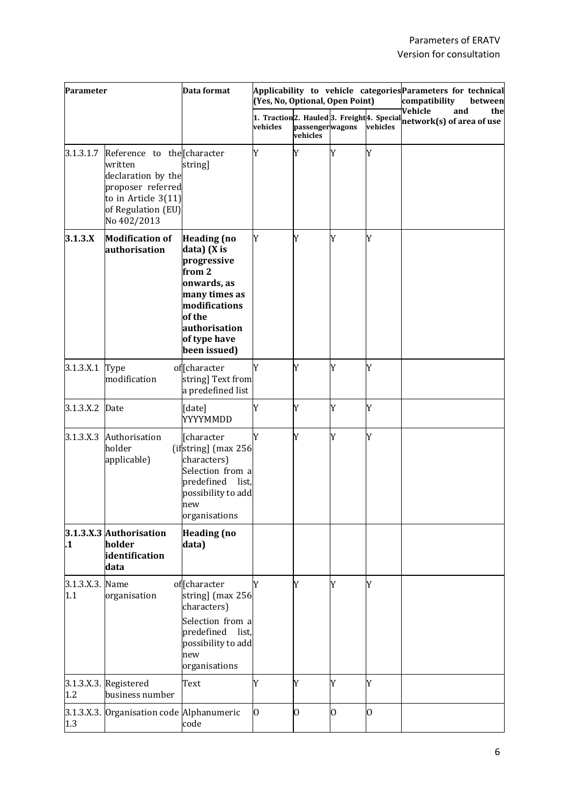| Parameter              |                                                                                                                                                | Data format                                                                                                                                                            | (Yes, No, Optional, Open Point) |                             |                | Applicability to vehicle categories Parameters for technical<br>compatibility<br>between |                                                                                                           |     |
|------------------------|------------------------------------------------------------------------------------------------------------------------------------------------|------------------------------------------------------------------------------------------------------------------------------------------------------------------------|---------------------------------|-----------------------------|----------------|------------------------------------------------------------------------------------------|-----------------------------------------------------------------------------------------------------------|-----|
|                        |                                                                                                                                                |                                                                                                                                                                        | vehicles                        | passengerwagons<br>vehicles |                | vehicles                                                                                 | Vehicle<br>and<br>1. $\mathrm{Traction}  2.$ Hauled $ 3.$ Freight $ 4.$ Special network(s) of area of use | the |
| 3.1.3.1.7              | Reference to the Character<br>written<br>declaration by the<br>proposer referred<br>to in Article $3(11)$<br>of Regulation (EU)<br>No 402/2013 | string]                                                                                                                                                                | Y                               | Y                           | Y              | Y                                                                                        |                                                                                                           |     |
| 3.1.3.X                | <b>Modification of</b><br>authorisation                                                                                                        | <b>Heading</b> (no<br>data) (X is<br>progressive<br>from 2<br>onwards, as<br>many times as<br>modifications<br>of the<br>authorisation<br>of type have<br>been issued) | Y                               | Y                           | Y              | Y                                                                                        |                                                                                                           |     |
| 3.1.3.X.1              | Type<br>modification                                                                                                                           | of <sup>[</sup> character<br>string] Text from<br>a predefined list                                                                                                    | Y                               | Y                           | Y              | Y                                                                                        |                                                                                                           |     |
| 3.1.3.X.2              | Date                                                                                                                                           | [date]<br>YYYYMMDD                                                                                                                                                     | Y                               | Y                           | Y              | Y                                                                                        |                                                                                                           |     |
| 3.1.3.X.3              | Authorisation<br>holder<br>applicable)                                                                                                         | [character<br>(ifstring] (max 256<br>characters)<br>Selection from a<br>predefined<br>list,<br>possibility to add<br>new<br>organisations                              | Y                               | Y                           | Y              | Y                                                                                        |                                                                                                           |     |
| $\mathbf{.1}$          | 3.1.3.X.3 Authorisation<br>holder<br>identification<br>data                                                                                    | <b>Heading</b> (no<br>data)                                                                                                                                            |                                 |                             |                |                                                                                          |                                                                                                           |     |
| 3.1.3.X.3. Name<br>1.1 | organisation                                                                                                                                   | of [character<br>string] (max 256<br>characters)<br>Selection from a<br>predefined<br>list,<br>possibility to add<br>new<br>organisations                              | Y                               | Y                           | Y              | Y                                                                                        |                                                                                                           |     |
| 1.2                    | 3.1.3.X.3. Registered<br>business number                                                                                                       | Text                                                                                                                                                                   | Y                               | Y                           | Y              | Y                                                                                        |                                                                                                           |     |
| 1.3                    | 3.1.3.X.3. Organisation code Alphanumeric                                                                                                      | code                                                                                                                                                                   | $\overline{0}$                  | $\overline{0}$              | $\overline{0}$ | $\overline{0}$                                                                           |                                                                                                           |     |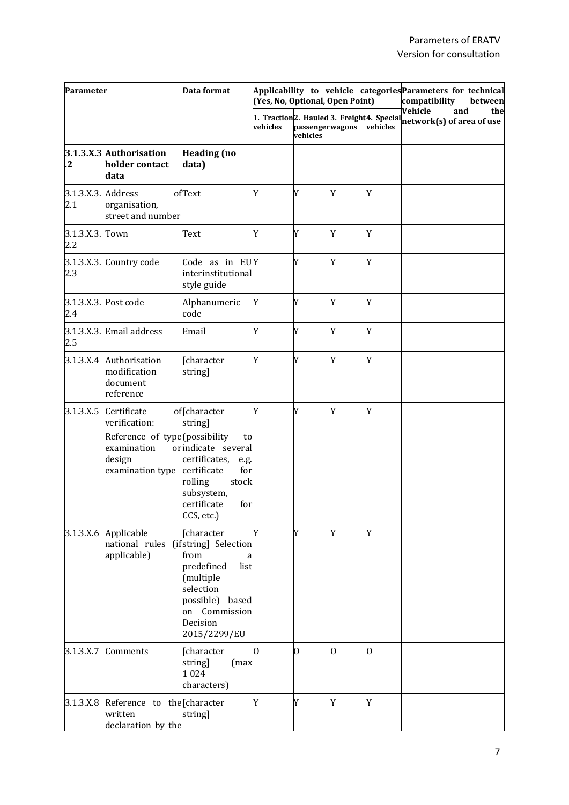| Parameter                 |                                                                                                                         | Data format                                                                                                                                                | (Yes, No, Optional, Open Point) |                             | Applicability to vehicle categories Parameters for technical<br>compatibility | between  |                                                                                         |     |
|---------------------------|-------------------------------------------------------------------------------------------------------------------------|------------------------------------------------------------------------------------------------------------------------------------------------------------|---------------------------------|-----------------------------|-------------------------------------------------------------------------------|----------|-----------------------------------------------------------------------------------------|-----|
|                           |                                                                                                                         |                                                                                                                                                            | vehicles                        | passengerwagons<br>vehicles |                                                                               | vehicles | Vehicle<br>and<br>1. Traction 2. Hauled 3. Freight 4. Special network(s) of area of use | the |
| .2                        | 3.1.3.X.3 Authorisation<br>holder contact<br>data                                                                       | <b>Heading</b> (no<br>data)                                                                                                                                |                                 |                             |                                                                               |          |                                                                                         |     |
| 3.1.3.X.3. Address<br>2.1 | organisation,<br>street and number                                                                                      | ofText                                                                                                                                                     | Y                               | Y                           | Y                                                                             | Y        |                                                                                         |     |
| 3.1.3.X.3. Town<br>2.2    |                                                                                                                         | Text                                                                                                                                                       | Y                               | Y                           | Y                                                                             | Y        |                                                                                         |     |
| 2.3                       | 3.1.3.X.3. Country code                                                                                                 | Code as in EUY<br>interinstitutional<br>style guide                                                                                                        |                                 | Y                           | Y                                                                             | Y        |                                                                                         |     |
| 2.4                       | 3.1.3.X.3. Post code                                                                                                    | Alphanumeric<br>code                                                                                                                                       | Y                               | Y                           | Y                                                                             | Y        |                                                                                         |     |
| 2.5                       | 3.1.3.X.3. Email address                                                                                                | Email                                                                                                                                                      | Y                               | Y                           | Y                                                                             | Y        |                                                                                         |     |
|                           | 3.1.3.X.4 Authorisation<br>modification<br>document<br>reference                                                        | [character<br>string]                                                                                                                                      | Y                               | Y                           | Y                                                                             | Y        |                                                                                         |     |
| 3.1.3.X.5                 | Certificate<br>verification:<br>Reference of type (possibility<br>examination<br>design<br>examination type certificate | of [character<br>string]<br>to<br>orindicate several<br>certificates,<br>e.g.<br>for<br>rolling<br>stock<br>subsystem,<br>certificate<br>for<br>CCS, etc.) | Y                               | Y                           | Y                                                                             | Y        |                                                                                         |     |
|                           | 3.1.3.X.6 Applicable<br>national rules (ifstring) Selection<br>applicable)                                              | [character<br>from<br>a<br>predefined<br>list<br>(multiple<br>selection<br>possible) based<br>on Commission<br>Decision<br>2015/2299/EU                    | Y                               | Y                           | Y                                                                             | Y        |                                                                                         |     |
| 3.1.3.X.7                 | Comments                                                                                                                | [character<br>string]<br>(max<br>1024<br>characters)                                                                                                       | O.                              | $\overline{0}$              | 0                                                                             | 0        |                                                                                         |     |
| 3.1.3.X.8                 | Reference to the Character<br>written<br>declaration by the                                                             | string]                                                                                                                                                    | Y                               | Y                           | Y                                                                             | Y        |                                                                                         |     |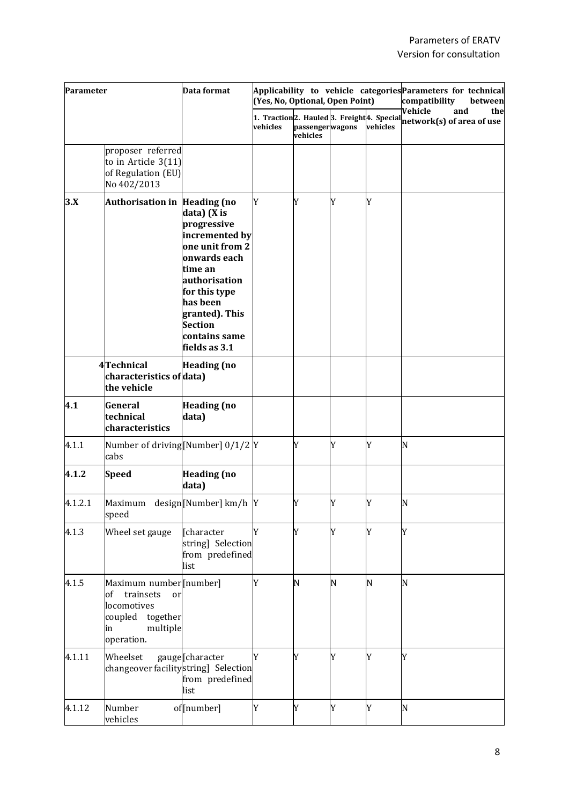| Parameter |                                                                                                                        | Data format                                                                                                                                                                                                    | (Yes, No, Optional, Open Point) |                             | Applicability to vehicle categories Parameters for technical<br>compatibility<br>between |          |                                                                                                                                       |
|-----------|------------------------------------------------------------------------------------------------------------------------|----------------------------------------------------------------------------------------------------------------------------------------------------------------------------------------------------------------|---------------------------------|-----------------------------|------------------------------------------------------------------------------------------|----------|---------------------------------------------------------------------------------------------------------------------------------------|
|           |                                                                                                                        |                                                                                                                                                                                                                | vehicles                        | passengerwagons<br>vehicles |                                                                                          | vehicles | Vehicle<br>and<br>the<br>1. $\mathrm{Traction}  2.$ Hauled $ 3.$ Freight $ 4.$ Special $\frac{1}{\mathrm{network}(s)}$ of area of use |
|           | proposer referred<br>to in Article $3(11)$<br>of Regulation (EU)<br>No 402/2013                                        |                                                                                                                                                                                                                |                                 |                             |                                                                                          |          |                                                                                                                                       |
| 3.X       | Authorisation in Heading (no                                                                                           | data) (X is<br>progressive<br>incremented by<br>one unit from 2<br>onwards each<br>time an<br>authorisation<br>for this type<br>has been<br>granted). This<br><b>Section</b><br>contains same<br>fields as 3.1 | Y                               | Y                           | Y                                                                                        | Y        |                                                                                                                                       |
|           | 4Technical<br>characteristics of data)<br>the vehicle                                                                  | <b>Heading</b> (no                                                                                                                                                                                             |                                 |                             |                                                                                          |          |                                                                                                                                       |
| 4.1       | General<br>technical<br>characteristics                                                                                | <b>Heading</b> (no<br>data)                                                                                                                                                                                    |                                 |                             |                                                                                          |          |                                                                                                                                       |
| 4.1.1     | Number of driving[Number] 0/1/2 Y<br>cabs                                                                              |                                                                                                                                                                                                                |                                 | Y                           | Y                                                                                        | Y        | N                                                                                                                                     |
| 4.1.2     | <b>Speed</b>                                                                                                           | <b>Heading</b> (no<br>data)                                                                                                                                                                                    |                                 |                             |                                                                                          |          |                                                                                                                                       |
| 4.1.2.1   | Maximum design[Number] km/h<br>speed                                                                                   |                                                                                                                                                                                                                | Y                               | Y                           | Y                                                                                        | Y        | N                                                                                                                                     |
| 4.1.3     | Wheel set gauge                                                                                                        | [character<br>string] Selection<br>from predefined<br>list                                                                                                                                                     | Y                               | Y                           | Y                                                                                        | Y        | Y                                                                                                                                     |
| 4.1.5     | Maximum number [number]<br>trainsets<br>of<br>or<br>locomotives<br>together<br>coupled<br>multiple<br>in<br>operation. |                                                                                                                                                                                                                | Y                               | N                           | N                                                                                        | N        | N                                                                                                                                     |
| 4.1.11    | Wheelset<br>changeover facilitystring] Selection                                                                       | gauge[character<br>from predefined<br>list                                                                                                                                                                     | Y                               | Y                           | Y                                                                                        | Y        | Y                                                                                                                                     |
| 4.1.12    | Number<br>vehicles                                                                                                     | of[number]                                                                                                                                                                                                     | Y                               | Y                           | Y                                                                                        | Y        | N                                                                                                                                     |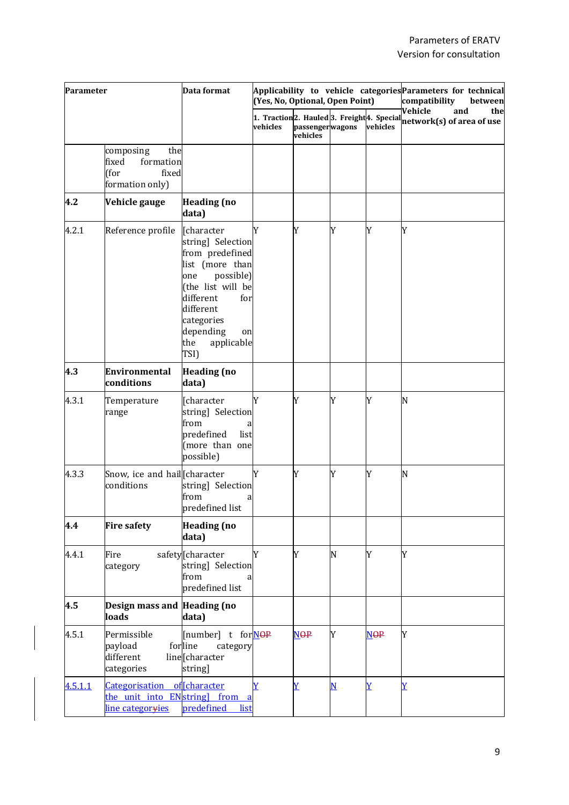| Parameter |                                                                                   | Data format                                                                                                                                                                                                   | (Yes, No, Optional, Open Point) |                             | Applicability to vehicle categories Parameters for technical<br>compatibility<br>between |                       |                                                                                                                                       |
|-----------|-----------------------------------------------------------------------------------|---------------------------------------------------------------------------------------------------------------------------------------------------------------------------------------------------------------|---------------------------------|-----------------------------|------------------------------------------------------------------------------------------|-----------------------|---------------------------------------------------------------------------------------------------------------------------------------|
|           |                                                                                   |                                                                                                                                                                                                               | vehicles                        | passengerwagons<br>vehicles |                                                                                          | vehicles              | Vehicle<br>and<br>the<br>1. $\mathrm{Traction}  2.$ Hauled $ 3.$ Freight $ 4.$ Special $\frac{1}{\mathrm{network}(s)}$ of area of use |
|           | the<br>composing<br>formation<br>fixed<br>(for<br>fixed<br>formation only)        |                                                                                                                                                                                                               |                                 |                             |                                                                                          |                       |                                                                                                                                       |
| 4.2       | Vehicle gauge                                                                     | <b>Heading (no</b><br>data)                                                                                                                                                                                   |                                 |                             |                                                                                          |                       |                                                                                                                                       |
| 4.2.1     | Reference profile                                                                 | [character<br>string] Selection<br>from predefined<br>list (more than<br>possible)<br>one<br>(the list will be<br>different<br>for<br>different<br>categories<br>depending<br>on<br>applicable<br>the<br>TSI) | Y                               | Y                           | Y                                                                                        | Y                     | Y                                                                                                                                     |
| 4.3       | Environmental<br>conditions                                                       | <b>Heading</b> (no<br>data)                                                                                                                                                                                   |                                 |                             |                                                                                          |                       |                                                                                                                                       |
| 4.3.1     | Temperature<br>range                                                              | [character<br>string] Selection<br>from<br>a<br>predefined<br>list<br>(more than one<br>possible)                                                                                                             | Y                               | Y                           | Y                                                                                        | Y                     | N                                                                                                                                     |
| 4.3.3     | Snow, ice and hail [character<br>conditions                                       | string] Selection<br>from<br>predefined list                                                                                                                                                                  | Y                               | Y                           | Y                                                                                        | Y                     | N                                                                                                                                     |
| 4.4       | <b>Fire safety</b>                                                                | <b>Heading</b> (no<br>data)                                                                                                                                                                                   |                                 |                             |                                                                                          |                       |                                                                                                                                       |
| 4.4.1     | Fire<br>category                                                                  | safety[character<br>string] Selection<br>from<br>predefined list                                                                                                                                              | Y                               | Y                           | N                                                                                        | Y                     | Y                                                                                                                                     |
| 4.5       | Design mass and Heading (no<br>loads                                              | data)                                                                                                                                                                                                         |                                 |                             |                                                                                          |                       |                                                                                                                                       |
| 4.5.1     | Permissible<br>payload<br>different<br>categories                                 | [number] t forNOP<br>forline<br>category<br>line[character<br>string]                                                                                                                                         |                                 | <b>NOP</b>                  | Y                                                                                        | <b>NOP</b>            | Y                                                                                                                                     |
| 4.5.1.1   | Categorisation<br>the unit into ENstring] from a<br>line categor <del>y</del> ies | of Character<br>list<br>predefined                                                                                                                                                                            | Ÿ                               | $\overline{\textbf{Y}}$     | N                                                                                        | $\overline{\text{Y}}$ | $\overline{\text{Y}}$                                                                                                                 |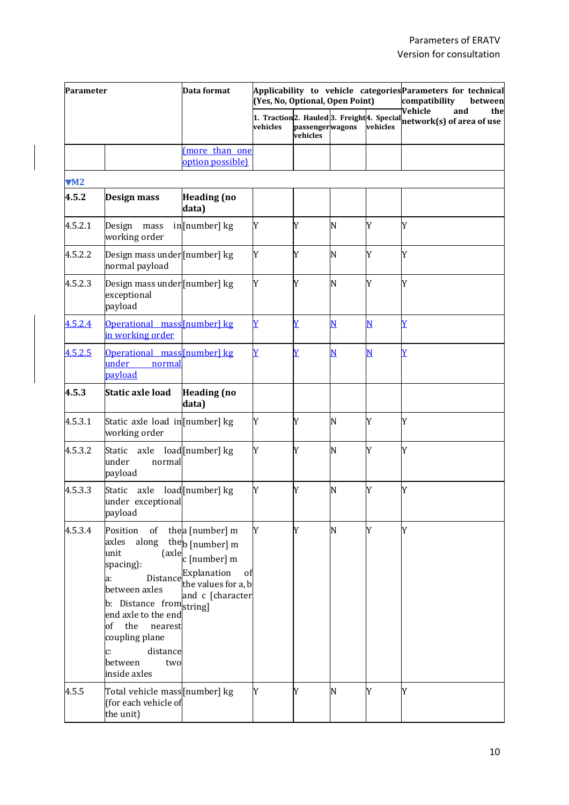| Parameter      |                                                                                                                                                                                                                                           | Data format                                                                                                                                                                      | (Yes, No, Optional, Open Point) |                             | Applicability to vehicle categories Parameters for technical<br>compatibility<br>between |          |                                                                                                |
|----------------|-------------------------------------------------------------------------------------------------------------------------------------------------------------------------------------------------------------------------------------------|----------------------------------------------------------------------------------------------------------------------------------------------------------------------------------|---------------------------------|-----------------------------|------------------------------------------------------------------------------------------|----------|------------------------------------------------------------------------------------------------|
|                |                                                                                                                                                                                                                                           |                                                                                                                                                                                  | vehicles                        | passengerwagons<br>vehicles |                                                                                          | vehicles | Vehicle<br>and<br>the<br>1. Traction 2. Hauled 3. Freight 4. Special network(s) of area of use |
|                |                                                                                                                                                                                                                                           | (more than one<br>option possible)                                                                                                                                               |                                 |                             |                                                                                          |          |                                                                                                |
| M <sub>2</sub> |                                                                                                                                                                                                                                           |                                                                                                                                                                                  |                                 |                             |                                                                                          |          |                                                                                                |
| 4.5.2          | Design mass                                                                                                                                                                                                                               | <b>Heading</b> (no<br>data)                                                                                                                                                      |                                 |                             |                                                                                          |          |                                                                                                |
| 4.5.2.1        | Design<br>mass<br>working order                                                                                                                                                                                                           | in[number] kg                                                                                                                                                                    | Y                               | Y                           | N                                                                                        | Y        | Y                                                                                              |
| 4.5.2.2        | Design mass under [number] kg<br>normal payload                                                                                                                                                                                           |                                                                                                                                                                                  | Y                               | Y                           | N                                                                                        | Y        | Y                                                                                              |
| 4.5.2.3        | Design mass under [number] kg<br>exceptional<br>payload                                                                                                                                                                                   |                                                                                                                                                                                  | Y                               | Y                           | N                                                                                        | Y        | Y                                                                                              |
| 4.5.2.4        | Operational mass[number] kg<br>in working order                                                                                                                                                                                           |                                                                                                                                                                                  | $\overline{Y}$                  | $\overline{\textbf{Y}}$     | N                                                                                        | N        | Y                                                                                              |
| 4.5.2.5        | Operational mass[number] kg<br>under<br>normal<br>payload                                                                                                                                                                                 |                                                                                                                                                                                  | $\overline{\textbf{Y}}$         | $\overline{\textbf{Y}}$     | N                                                                                        | N        | $\bar{\textbf{Y}}$                                                                             |
| 4.5.3          | Static axle load                                                                                                                                                                                                                          | <b>Heading</b> (no<br>data)                                                                                                                                                      |                                 |                             |                                                                                          |          |                                                                                                |
| 4.5.3.1        | Static axle load in [number] kg<br>working order                                                                                                                                                                                          |                                                                                                                                                                                  | Y                               | Y                           | N                                                                                        | Y        | Y                                                                                              |
| 4.5.3.2        | Static<br>axle<br>under<br>normal<br>payload                                                                                                                                                                                              | load [number] kg                                                                                                                                                                 | Y                               | Y                           | N                                                                                        | Y        | Y                                                                                              |
| 4.5.3.3        | Static<br>axle<br>under exceptional<br>payload                                                                                                                                                                                            | load[number] kg                                                                                                                                                                  | Y                               | Y                           | N                                                                                        | Y        | Y                                                                                              |
| 4.5.3.4        | Position<br>of<br>along<br>axles<br>unit<br>spacing):<br>Distance<br>a:<br>between axles<br>b: Distance from string]<br>end axle to the end<br>of<br>the<br>nearest<br>coupling plane<br>distance<br>c:<br>between<br>two<br>inside axles | thea [number] m<br>the <sub>b</sub> [number] m<br>$\left\lbrack \text{axle} \right\rbrack_{\text{C}}$ [number] m<br>Explanation<br>of<br>the values for a, b<br>and c [character | Y                               | Y                           | N                                                                                        | Y        | Y                                                                                              |
| 4.5.5          | Total vehicle mass [number] kg<br>(for each vehicle of<br>the unit)                                                                                                                                                                       |                                                                                                                                                                                  | Y                               | Y                           | N                                                                                        | Y        | Y                                                                                              |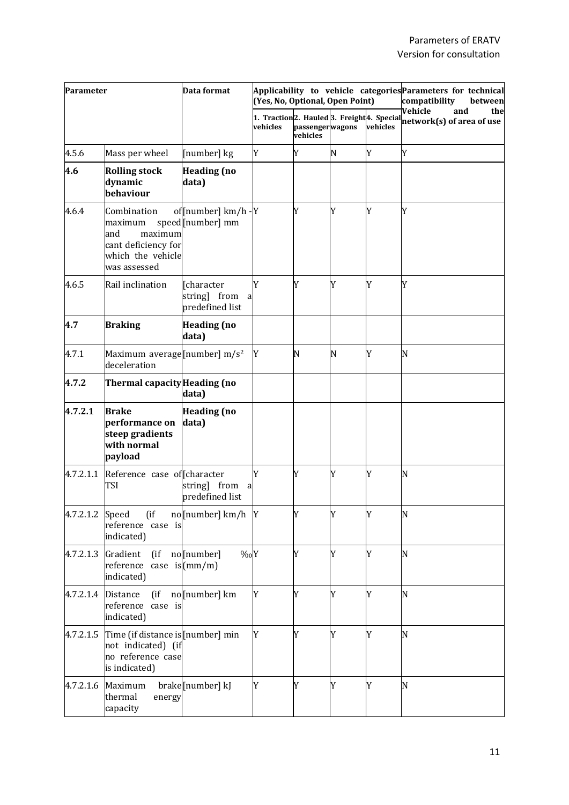| Parameter       |                                                                                                      | Data format                                        | (Yes, No, Optional, Open Point) |                             | Applicability to vehicle categories Parameters for technical<br>compatibility<br>between |          |                                                                                               |
|-----------------|------------------------------------------------------------------------------------------------------|----------------------------------------------------|---------------------------------|-----------------------------|------------------------------------------------------------------------------------------|----------|-----------------------------------------------------------------------------------------------|
|                 |                                                                                                      |                                                    | vehicles                        | passengerwagons<br>vehicles |                                                                                          | vehicles | Vehicle<br>the<br>and<br>1. Traction2. Hauled 3. Freight 4. Special network(s) of area of use |
| 4.5.6           | Mass per wheel                                                                                       | [number] kg                                        | Y                               | Y                           | N                                                                                        | Y        | Y                                                                                             |
| 4.6             | <b>Rolling stock</b><br>dynamic<br>behaviour                                                         | <b>Heading</b> (no<br>data)                        |                                 |                             |                                                                                          |          |                                                                                               |
| 4.6.4           | Combination<br>maximum<br>and<br>maximum<br>cant deficiency for<br>which the vehicle<br>was assessed | of[number] km/h -Y<br>speed[number] mm             |                                 | Y                           | Y                                                                                        | Y        | Y                                                                                             |
| 4.6.5           | Rail inclination                                                                                     | [character<br>string] from<br>a<br>predefined list | Y                               | Y                           | Y                                                                                        | Y        | Y                                                                                             |
| 4.7             | <b>Braking</b>                                                                                       | <b>Heading</b> (no<br>data)                        |                                 |                             |                                                                                          |          |                                                                                               |
| 4.7.1           | Maximum average [number] m/s <sup>2</sup><br>deceleration                                            |                                                    | Y                               | N                           | N                                                                                        | Y        | N                                                                                             |
| 4.7.2           | Thermal capacity Heading (no                                                                         | data)                                              |                                 |                             |                                                                                          |          |                                                                                               |
| 4.7.2.1         | <b>Brake</b><br>performance on<br>steep gradients<br>with normal<br>payload                          | <b>Heading</b> (no<br>data)                        |                                 |                             |                                                                                          |          |                                                                                               |
| 4.7.2.1.1       | Reference case of character<br>TSI                                                                   | from<br>string]<br>a<br>predefined list            | Y                               | Y                           | Y                                                                                        | Y        | N                                                                                             |
| 4.7.2.1.2 Speed | $($ if<br>reference case is<br>indicated)                                                            | no [number] km/h Y                                 |                                 | Y                           | Y                                                                                        | Y        | N                                                                                             |
| 4.7.2.1.3       | Gradient<br>(i f)<br>reference case is(mm/m)<br>indicated)                                           | $\%oY$<br>no[number]                               |                                 | Y                           | Y                                                                                        | Y        | N                                                                                             |
|                 | 4.7.2.1.4 Distance<br>$($ if<br>reference case is<br>indicated)                                      | no[number] km                                      | Y                               | Y                           | Y                                                                                        | Y        | N                                                                                             |
| 4.7.2.1.5       | Time (if distance is [number] min<br>not indicated) (if<br>no reference case<br>is indicated)        |                                                    | Y                               | Y                           | Y                                                                                        | Y        | N                                                                                             |
| 4.7.2.1.6       | Maximum<br>thermal<br>energy<br>capacity                                                             | brake[number] kJ                                   | Y                               | Y                           | Y                                                                                        | Y        | N                                                                                             |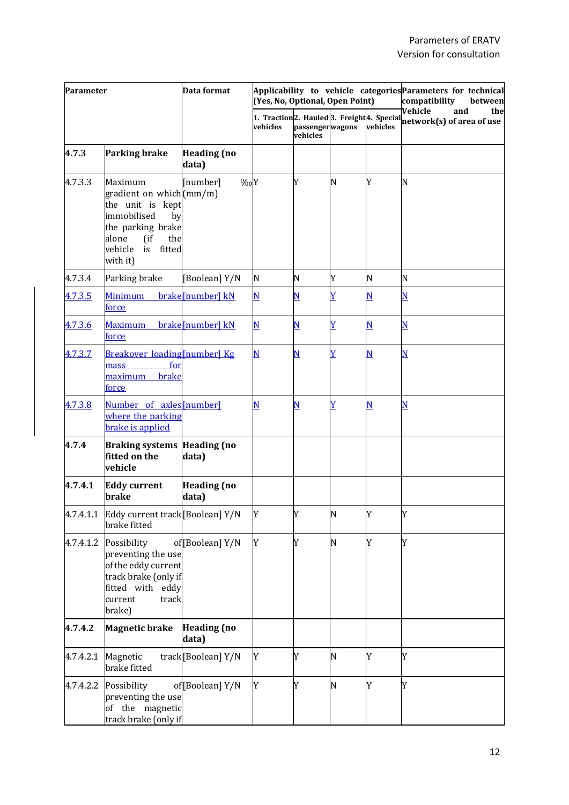| Parameter |                                                                                                                                                                    | Data format                 | (Yes, No, Optional, Open Point) |                             | Applicability to vehicle categories Parameters for technical<br>compatibility<br>between |                         |                                                                                               |
|-----------|--------------------------------------------------------------------------------------------------------------------------------------------------------------------|-----------------------------|---------------------------------|-----------------------------|------------------------------------------------------------------------------------------|-------------------------|-----------------------------------------------------------------------------------------------|
|           |                                                                                                                                                                    |                             | vehicles                        | passengerwagons<br>vehicles |                                                                                          | vehicles                | Vehicle<br>and<br>the<br>1. Traction2. Hauled 3. Freight 4. Special network(s) of area of use |
| 4.7.3     | <b>Parking brake</b>                                                                                                                                               | <b>Heading</b> (no<br>data) |                                 |                             |                                                                                          |                         |                                                                                               |
| 4.7.3.3   | Maximum<br>gradient on which (mm/m)<br>the unit is kept<br>immobilised<br>by<br>the parking brake<br>alone<br>$($ if<br>the<br>vehicle<br>is<br>fitted<br>with it) | $\%oY$<br>[number]          |                                 | Y                           | N                                                                                        | Y                       | N                                                                                             |
| 4.7.3.4   | Parking brake                                                                                                                                                      | [Boolean] Y/N               | N                               | N                           | Y                                                                                        | N                       | N                                                                                             |
| 4.7.3.5   | <b>Minimum</b><br><u>force</u>                                                                                                                                     | brake[number] kN            | $\overline{\mathbf{N}}$         | $\underline{\mathbf{N}}$    | $\overline{\text{Y}}$                                                                    | $\overline{\mathbf{N}}$ | $\overline{\mathbf{N}}$                                                                       |
| 4.7.3.6   | <u>Maximum</u><br><u>force</u>                                                                                                                                     | brake [number] kN           | N                               | $\overline{\mathbf{N}}$     | $\overline{Y}$                                                                           | $\overline{\mathbf{N}}$ | $\overline{\mathbf{N}}$                                                                       |
| 4.7.3.7   | Breakover loading [number] Kg<br>for<br>mass<br>brake<br>maximum<br><u>force</u>                                                                                   |                             | $\overline{\mathbf{N}}$         | $\underline{\mathbf{N}}$    | $\overline{Y}$                                                                           | $\overline{\mathbf{N}}$ | $\overline{\mathbf{N}}$                                                                       |
| 4.7.3.8   | Number of axles[number]<br>where the parking<br>brake is applied                                                                                                   |                             | N                               | $\overline{\mathbf{N}}$     | $\overline{Y}$                                                                           | $\overline{\mathbf{N}}$ | $\overline{\mathbf{N}}$                                                                       |
| 4.7.4     | <b>Braking systems Heading (no</b><br>fitted on the<br>vehicle                                                                                                     | data)                       |                                 |                             |                                                                                          |                         |                                                                                               |
| 4.7.4.1   | <b>Eddy current</b><br><b>brake</b>                                                                                                                                | <b>Heading</b> (no<br>data) |                                 |                             |                                                                                          |                         |                                                                                               |
|           | 4.7.4.1.1 Eddy current track [Boolean] Y/N<br>brake fitted                                                                                                         |                             | Y                               | Y                           | N                                                                                        | Y                       | Y                                                                                             |
| 4.7.4.1.2 | Possibility<br>preventing the use<br>of the eddy current<br>track brake (only if<br>fitted with eddy<br>current<br>track<br>brake)                                 | of [Boolean] Y/N            | Y                               | Y                           | N                                                                                        | Y                       | Y                                                                                             |
| 4.7.4.2   | <b>Magnetic brake</b>                                                                                                                                              | <b>Heading</b> (no<br>data) |                                 |                             |                                                                                          |                         |                                                                                               |
| 4.7.4.2.1 | Magnetic<br>brake fitted                                                                                                                                           | track[Boolean] Y/N          | Y                               | Y                           | N                                                                                        | Y                       | Y                                                                                             |
|           | 4.7.4.2.2 Possibility<br>preventing the use<br>of the magnetic<br>track brake (only if                                                                             | of [Boolean] Y/N            | Y                               | Y                           | N                                                                                        | Y                       | Y                                                                                             |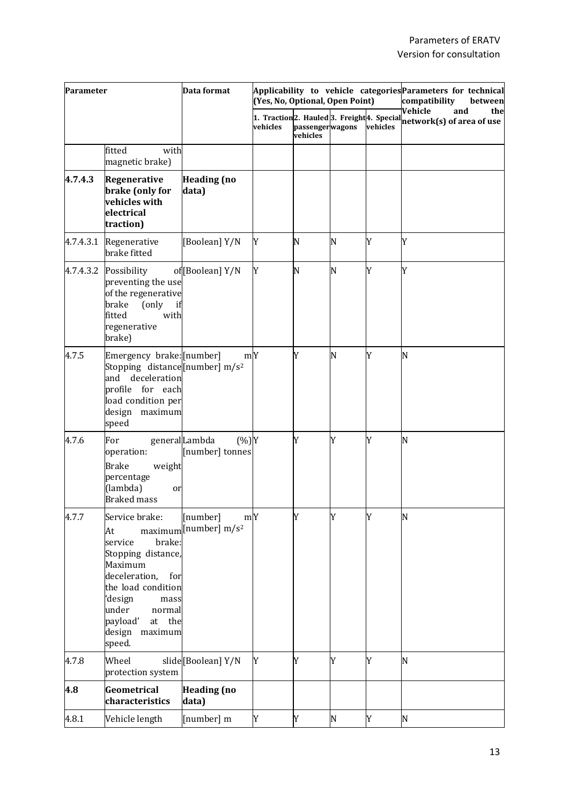| Parameter |                                                                                                                                                                                                                     | Data format                                                     | (Yes, No, Optional, Open Point)                                                |                             | Applicability to vehicle categories Parameters for technical<br>compatibility<br>between |          |                                                    |
|-----------|---------------------------------------------------------------------------------------------------------------------------------------------------------------------------------------------------------------------|-----------------------------------------------------------------|--------------------------------------------------------------------------------|-----------------------------|------------------------------------------------------------------------------------------|----------|----------------------------------------------------|
|           |                                                                                                                                                                                                                     |                                                                 | 1. Traction <sub>2. Hauled</sub> 3. Freight <sup>4</sup> . Special<br>vehicles | passengerwagons<br>vehicles |                                                                                          | vehicles | Vehicle<br>and<br>the<br>network(s) of area of use |
|           | with<br>fitted<br>magnetic brake)                                                                                                                                                                                   |                                                                 |                                                                                |                             |                                                                                          |          |                                                    |
| 4.7.4.3   | Regenerative<br>brake (only for<br>vehicles with<br>electrical<br>traction)                                                                                                                                         | <b>Heading</b> (no<br>data)                                     |                                                                                |                             |                                                                                          |          |                                                    |
| 4.7.4.3.1 | Regenerative<br>brake fitted                                                                                                                                                                                        | [Boolean] Y/N                                                   | Y                                                                              | N                           | N                                                                                        | Y        | Y                                                  |
| 4.7.4.3.2 | Possibility<br>preventing the use<br>of the regenerative<br>brake<br>(only<br>if<br>fitted<br>with<br>regenerative<br>brake)                                                                                        | of [Boolean] Y/N                                                | Y                                                                              | N                           | N                                                                                        | Y        | Y                                                  |
| 4.7.5     | Emergency brake: [number]<br>Stopping distance [number] $m/s^2$<br>deceleration<br>and<br>profile for each<br>load condition per<br>design maximum<br>speed                                                         | mY                                                              |                                                                                | Y                           | N                                                                                        | Y        | N                                                  |
| 4.7.6     | For<br>operation:<br><b>Brake</b><br>weight<br>percentage<br>(lambda)<br>or<br><b>Braked mass</b>                                                                                                                   | generalLambda<br>$(\%)Y$<br>[number] tonnes                     |                                                                                | Y                           | Y                                                                                        | Y        | N                                                  |
| 4.7.7     | Service brake:<br>At<br>brake:<br>service<br>Stopping distance,<br>Maximum<br>deceleration,<br>for<br>the load condition<br>'design<br>mass<br>under<br>normal<br>payload'<br>the<br>at<br>design maximum<br>speed. | m <sub>Y</sub><br>[number]<br>maximum [number] m/s <sup>2</sup> |                                                                                | Y                           | Y                                                                                        | Y        | N                                                  |
| 4.7.8     | Wheel<br>protection system                                                                                                                                                                                          | slide[Boolean] Y/N                                              | Y                                                                              | Y                           | Y                                                                                        | Y        | N                                                  |
| 4.8       | Geometrical<br>characteristics                                                                                                                                                                                      | <b>Heading (no</b><br>data)                                     |                                                                                |                             |                                                                                          |          |                                                    |
| 4.8.1     | Vehicle length                                                                                                                                                                                                      | [number] m                                                      | Y                                                                              | Y                           | ${\bf N}$                                                                                | Y        | N                                                  |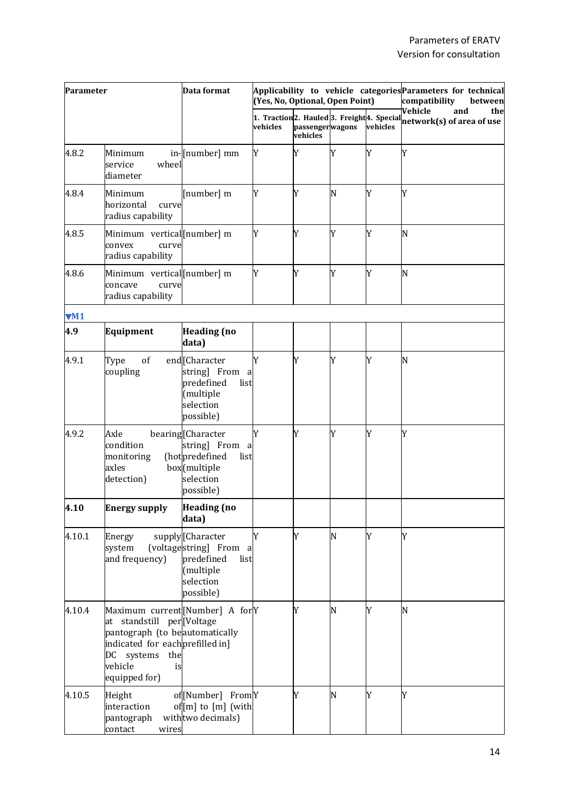| Parameter |                                                                                                                                                                                            | Data format                                                                                                 | (Yes, No, Optional, Open Point) |                             | Applicability to vehicle categories Parameters for technical<br>compatibility<br>between |          |                                                                                               |
|-----------|--------------------------------------------------------------------------------------------------------------------------------------------------------------------------------------------|-------------------------------------------------------------------------------------------------------------|---------------------------------|-----------------------------|------------------------------------------------------------------------------------------|----------|-----------------------------------------------------------------------------------------------|
|           |                                                                                                                                                                                            |                                                                                                             | vehicles                        | passengerwagons<br>vehicles |                                                                                          | vehicles | Vehicle<br>and<br>the<br>1. Traction2. Hauled 3. Freight 4. Special network(s) of area of use |
| 4.8.2     | Minimum<br>service<br>wheel<br>diameter                                                                                                                                                    | in-[number] mm                                                                                              | Y                               | Y                           | Y                                                                                        | Y        | Y                                                                                             |
| 4.8.4     | Minimum<br>horizontal<br>curve<br>radius capability                                                                                                                                        | [number] m                                                                                                  | Y                               | Y                           | N                                                                                        | Y        | Y                                                                                             |
| 4.8.5     | Minimum vertical [number] m<br>convex<br>curve<br>radius capability                                                                                                                        |                                                                                                             | Y                               | Y                           | Y                                                                                        | Y        | N                                                                                             |
| 4.8.6     | Minimum vertical [number] m<br>curve<br>concave<br>radius capability                                                                                                                       |                                                                                                             | Y                               | Y                           | Y                                                                                        | Y        | N                                                                                             |
| VM1       |                                                                                                                                                                                            |                                                                                                             |                                 |                             |                                                                                          |          |                                                                                               |
| 4.9       | Equipment                                                                                                                                                                                  | <b>Heading</b> (no<br>data)                                                                                 |                                 |                             |                                                                                          |          |                                                                                               |
| 4.9.1     | of<br>Type<br>coupling                                                                                                                                                                     | end <sub>[Character</sub><br>string] From<br>a<br>predefined<br>list<br>(multiple<br>selection<br>possible) | Y                               | Y                           | Y                                                                                        | Y        | N                                                                                             |
| 4.9.2     | Axle<br>condition<br>monitoring<br>axles<br>detection)                                                                                                                                     | bearing[Character<br>string] From<br>a<br>(hotpredefined<br>list<br>box(multiple<br>selection<br>possible)  | Y                               | Y                           | Y                                                                                        | Y        | Y                                                                                             |
| 4.10      | <b>Energy supply</b>                                                                                                                                                                       | <b>Heading</b> (no<br>data)                                                                                 |                                 |                             |                                                                                          |          |                                                                                               |
| 4.10.1    | Energy<br>system<br>and frequency)                                                                                                                                                         | supply[Character<br>(voltagestring) From<br>a<br>predefined<br>list<br>(multiple<br>selection<br>possible)  | Y                               | Y                           | N                                                                                        | Y        | Y                                                                                             |
| 4.10.4    | Maximum current [Number] A for Y<br>at standstill per Voltage<br>pantograph (to beautomatically<br>indicated for each prefilled in]<br>DC systems<br>the<br>vehicle<br>is<br>equipped for) |                                                                                                             |                                 | Y                           | N                                                                                        | Y        | N                                                                                             |
| 4.10.5    | Height<br>interaction<br>pantograph<br>contact<br>wires                                                                                                                                    | of[Number] FromY<br>of $[m]$ to $[m]$ (with<br>with two decimals)                                           |                                 | Y                           | N                                                                                        | Y        | Y                                                                                             |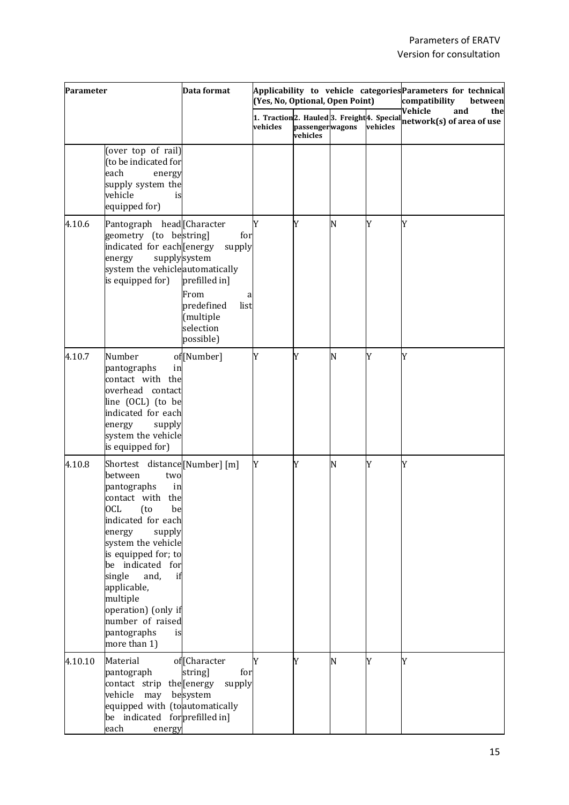| Parameter |                                                                                                                                                                                                                                                                                                                                                          | Data format                                                                                                              | (Yes, No, Optional, Open Point) |                             | Applicability to vehicle categories Parameters for technical<br>compatibility<br>between |          |                                                                                                                                       |
|-----------|----------------------------------------------------------------------------------------------------------------------------------------------------------------------------------------------------------------------------------------------------------------------------------------------------------------------------------------------------------|--------------------------------------------------------------------------------------------------------------------------|---------------------------------|-----------------------------|------------------------------------------------------------------------------------------|----------|---------------------------------------------------------------------------------------------------------------------------------------|
|           |                                                                                                                                                                                                                                                                                                                                                          |                                                                                                                          | vehicles                        | passengerwagons<br>vehicles |                                                                                          | vehicles | Vehicle<br>and<br>the<br>1. $\mathrm{Traction}  2.$ Hauled $ 3.$ Freight $ 4.$ Special $\frac{1}{\mathrm{network}(s)}$ of area of use |
|           | (over top of rail)<br>(to be indicated for<br>each<br>energy<br>supply system the<br>vehicle<br>is<br>equipped for)                                                                                                                                                                                                                                      |                                                                                                                          |                                 |                             |                                                                                          |          |                                                                                                                                       |
| 4.10.6    | Pantograph head [Character<br>geometry (to bestring)<br>indicated for each [energy<br>energy<br>system the vehicleautomatically<br>is equipped for)                                                                                                                                                                                                      | for<br>supply<br>supplysystem<br>prefilled in]<br>From<br>a<br>predefined<br>list<br>(multiple<br>selection<br>possible) | Y                               | Y                           | N                                                                                        | Y        | Y                                                                                                                                     |
| 4.10.7    | Number<br>pantographs<br>in<br>contact with the<br>overhead contact<br>line (OCL) (to be<br>indicated for each<br>supply<br>energy<br>system the vehicle<br>is equipped for)                                                                                                                                                                             | of[Number]                                                                                                               | Y                               | Y                           | N                                                                                        | Y        | Y                                                                                                                                     |
| 4.10.8    | Shortest distance [Number] [m]<br>between<br>two<br>pantographs<br>in<br>contact with the<br>be<br>OCL (to<br>indicated for each<br>energy<br>supply<br>system the vehicle<br>is equipped for; to<br>be indicated for<br>single<br>and,<br>if<br>applicable,<br>multiple<br>operation) (only if<br>number of raised<br>pantographs<br>is<br>more than 1) |                                                                                                                          | Y                               | Y                           | N                                                                                        | Y        | Y                                                                                                                                     |
| 4.10.10   | Material<br>pantograph<br>contact strip the [energy<br>vehicle<br>may<br>equipped with (to automatically<br>be indicated forprefilled in]<br>each<br>energy                                                                                                                                                                                              | of <sup>[Character]</sup><br>string]<br>for<br>supply<br>besystem                                                        | Y                               | Y                           | N                                                                                        | Y        | Y                                                                                                                                     |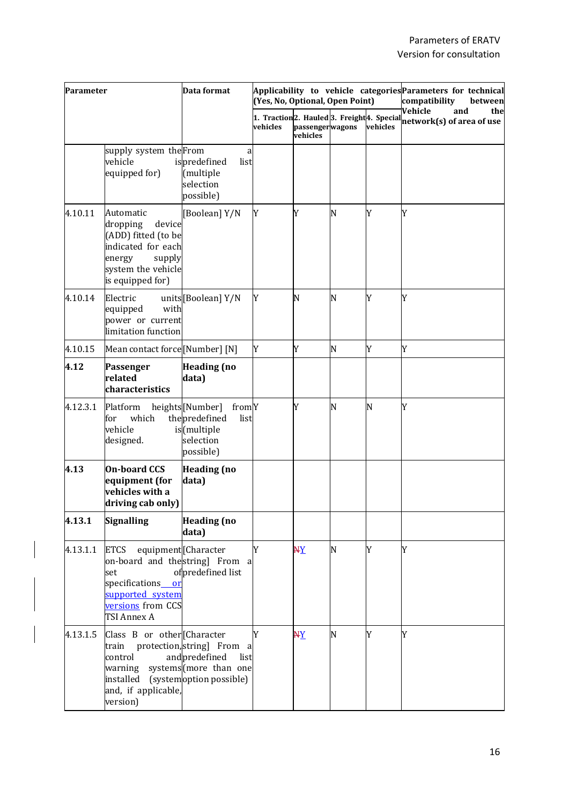| Parameter |                                                                                                                                                          | Data format                                                                                | (Yes, No, Optional, Open Point) |                                  | Applicability to vehicle categories Parameters for technical<br>compatibility<br>between |          |                                                                                               |
|-----------|----------------------------------------------------------------------------------------------------------------------------------------------------------|--------------------------------------------------------------------------------------------|---------------------------------|----------------------------------|------------------------------------------------------------------------------------------|----------|-----------------------------------------------------------------------------------------------|
|           |                                                                                                                                                          |                                                                                            | vehicles                        | passengerwagons<br>.<br>vehicles |                                                                                          | vehicles | Vehicle<br>and<br>the<br>1. Traction2. Hauled 3. Freight 4. Special network(s) of area of use |
|           | supply system the From<br>vehicle<br>equipped for)                                                                                                       | a<br>ispredefined<br>list<br>(multiple<br>selection<br>possible)                           |                                 |                                  |                                                                                          |          |                                                                                               |
| 4.10.11   | Automatic<br>dropping<br>device<br>(ADD) fitted (to be<br>indicated for each<br>supply<br>energy<br>system the vehicle<br>is equipped for)               | [Boolean] Y/N                                                                              | Y                               | Y                                | N                                                                                        | Y        | Y                                                                                             |
| 4.10.14   | Electric<br>with<br>equipped<br>power or current<br>limitation function                                                                                  | units [Boolean] Y/N                                                                        | Y                               | N                                | N                                                                                        | Y        | Y                                                                                             |
| 4.10.15   | Mean contact force [Number] [N]                                                                                                                          |                                                                                            | Y                               | Y                                | N                                                                                        | Y        | Y                                                                                             |
| 4.12      | Passenger<br>related<br>characteristics                                                                                                                  | <b>Heading</b> (no<br>data)                                                                |                                 |                                  |                                                                                          |          |                                                                                               |
| 4.12.3.1  | Platform<br>which<br>for<br>vehicle<br>designed.                                                                                                         | heights[Number]<br>fromY<br>thepredefined<br>list<br>is(multiple<br>selection<br>possible) |                                 | Y                                | N                                                                                        | N        | Y                                                                                             |
| 4.13      | <b>On-board CCS</b><br>equipment (for<br>vehicles with a<br>driving cab only)                                                                            | <b>Heading</b> (no<br>data)                                                                |                                 |                                  |                                                                                          |          |                                                                                               |
| 4.13.1    | <b>Signalling</b>                                                                                                                                        | <b>Heading</b> (no<br>data)                                                                |                                 |                                  |                                                                                          |          |                                                                                               |
| 4.13.1.1  | equipment [Character<br><b>ETCS</b><br>on-board and thestring From a<br>set<br>specifications or<br>supported system<br>versions from CCS<br>TSI Annex A | ofpredefined list                                                                          | Y                               | $\overline{AY}$                  | N                                                                                        | Y        | Y                                                                                             |
| 4.13.1.5  | Class B or other [Character<br>train<br>control<br>warning<br>installed (systemoption possible)<br>and, if applicable,<br>version)                       | protection, string From<br>a<br>andpredefined<br>list<br>systems (more than one            | Y                               | $\frac{AY}{AY}$                  | N                                                                                        | Y        | Y                                                                                             |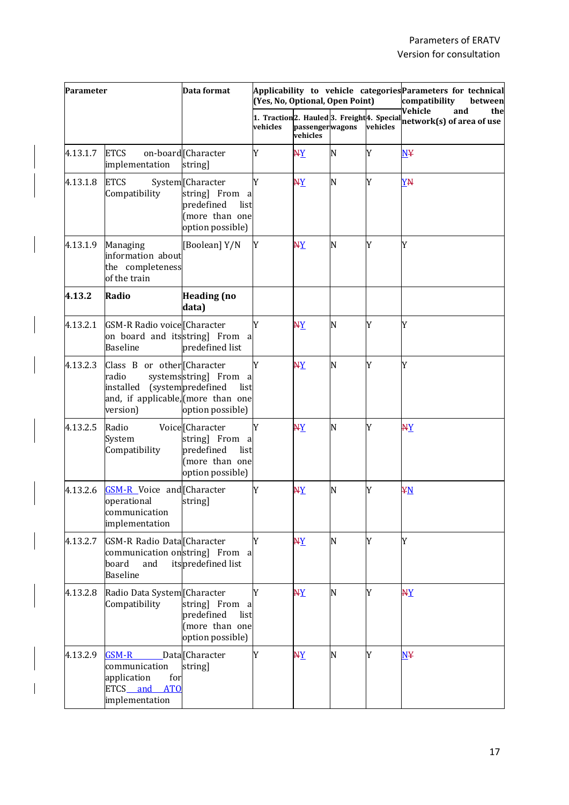| Parameter |                                                                                                     | Data format                                                                                     | (Yes, No, Optional, Open Point) |                             | Applicability to vehicle categories Parameters for technical<br>compatibility<br>between |          |                                                                                               |
|-----------|-----------------------------------------------------------------------------------------------------|-------------------------------------------------------------------------------------------------|---------------------------------|-----------------------------|------------------------------------------------------------------------------------------|----------|-----------------------------------------------------------------------------------------------|
|           |                                                                                                     |                                                                                                 | vehicles                        | passengerwagons<br>vehicles |                                                                                          | vehicles | Vehicle<br>and<br>the<br>1. Traction2. Hauled 3. Freight 4. Special network(s) of area of use |
| 4.13.1.7  | <b>ETCS</b><br>implementation                                                                       | on-board Character<br>string]                                                                   | Y                               | $\overline{X}$              | N                                                                                        | Y        | <b>N¥</b>                                                                                     |
| 4.13.1.8  | <b>ETCS</b><br>Compatibility                                                                        | System [Character<br>string] From a<br>predefined<br>list<br>(more than one<br>option possible) | Y                               | $\overline{X}$              | N                                                                                        | Y        | YN                                                                                            |
| 4.13.1.9  | Managing<br>information about<br>the completeness<br>of the train                                   | [Boolean] Y/N                                                                                   | Y                               | $\frac{XY}{2}$              | N                                                                                        | Y        | Y                                                                                             |
| 4.13.2    | Radio                                                                                               | <b>Heading (no</b><br>data)                                                                     |                                 |                             |                                                                                          |          |                                                                                               |
| 4.13.2.1  | GSM-R Radio voice Character<br>on board and itsstring] From a<br><b>Baseline</b>                    | predefined list                                                                                 | Y                               | $\frac{XY}{2}$              | N                                                                                        | Y        | Y                                                                                             |
| 4.13.2.3  | Class B or other [Character<br>radio<br>installed<br>and, if applicable, (more than one<br>version) | systemsstring] From a<br>(systempredefined<br>list<br>option possible)                          | Y                               | $\overline{AY}$             | N                                                                                        | Y        | Y                                                                                             |
| 4.13.2.5  | Radio<br>System<br>Compatibility                                                                    | Voice [Character<br>string] From a<br>predefined<br>list<br>(more than one<br>option possible)  | Y                               | $X_{\text{A}}$              | N                                                                                        | Y        | $X_{\mathbf{X}}$                                                                              |
| 4.13.2.6  | <b>GSM-R</b> Voice and Character<br>operational<br>communication<br>implementation                  | string]                                                                                         | Y                               | $\overline{AY}$             | N                                                                                        | Y        | ¥N                                                                                            |
| 4.13.2.7  | GSM-R Radio Data Character<br>communication onstring From a<br>board<br>and<br><b>Baseline</b>      | itspredefined list                                                                              | Y                               | $\overline{AY}$             | N                                                                                        | Y        | Y                                                                                             |
| 4.13.2.8  | Radio Data System [Character<br>Compatibility                                                       | string] From a<br>predefined<br>list<br>(more than one<br>option possible)                      | Y                               | $\overline{X}$              | N                                                                                        | Y        | $\overline{XY}$                                                                               |
| 4.13.2.9  | $GSM-R$<br>communication<br>application<br>for<br><b>ATO</b><br>ETCS_and<br>implementation          | Data <sup>[Character</sup><br>string]                                                           | Y                               | $X_{\text{A}}$              | N                                                                                        | Y        | N <sub>Y</sub>                                                                                |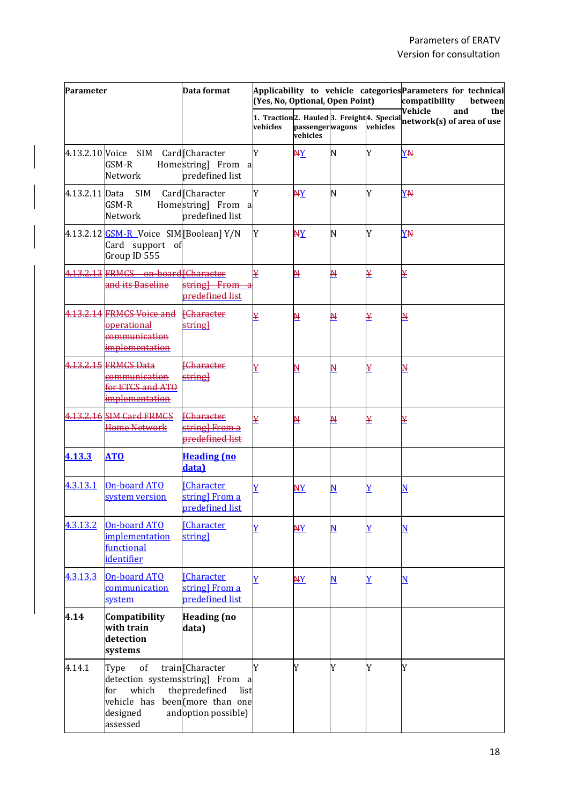| Parameter      |                                                                                                      | Data format                                                                             | (Yes, No, Optional, Open Point) |                             | Applicability to vehicle categories Parameters for technical<br>compatibility<br>between |                         |                                                                                                |
|----------------|------------------------------------------------------------------------------------------------------|-----------------------------------------------------------------------------------------|---------------------------------|-----------------------------|------------------------------------------------------------------------------------------|-------------------------|------------------------------------------------------------------------------------------------|
|                |                                                                                                      |                                                                                         | vehicles                        | passengerwagons<br>vehicles |                                                                                          | vehicles                | Vehicle<br>and<br>the<br>1. Traction 2. Hauled 3. Freight 4. Special network(s) of area of use |
|                | 4.13.2.10 Voice SIM<br>GSM-R<br>Network                                                              | Card <sup>[</sup> Character<br>Homestring] From a<br>predefined list                    | Y                               | <u>NY</u>                   | N                                                                                        | Y                       | YN                                                                                             |
| 4.13.2.11 Data | SIM<br>GSM-R<br>Network                                                                              | Card <sup>[Character</sup><br>Homestring] From a<br>predefined list                     | Y                               | <u>NY</u>                   | N                                                                                        | Y                       | YN                                                                                             |
|                | 4.13.2.12 <b>GSM-R</b> Voice SIM [Boolean] Y/N<br>Card support of<br>Group ID 555                    |                                                                                         | Y                               | <u>NY</u>                   | N                                                                                        | Y                       | YN                                                                                             |
|                | 4.13.2.13 FRMCS on-board [Character<br>and its Baseline                                              | string From<br>predefined list                                                          | ¥                               | <u>N</u>                    | <u>н</u>                                                                                 | ¥                       | ¥                                                                                              |
|                | 4.13.2.14 FRMCS Voice and<br>operational<br>co <u>mmunication</u><br>implementation                  | <b>[Character</b><br>string]                                                            | ¥                               | <u>N</u>                    | <u>N</u>                                                                                 | ¥                       | <u>N</u>                                                                                       |
|                | 1.13.2.15 FRMCS Data<br>communication<br>for ETCS and ATO<br><i>implementation</i>                   | <b>Character</b><br>string]                                                             | ¥                               | <u>N</u>                    | N                                                                                        | ¥                       | <u>N</u>                                                                                       |
|                | 4.13.2.16 SIM Card FRMCS<br>Home Network                                                             | <b>Character</b><br>string] From a<br><b>predefined list</b>                            | ¥                               | <u>N</u>                    | <u>N</u>                                                                                 | ¥                       | ¥                                                                                              |
| 4.13.3         | <b>ATO</b>                                                                                           | <b>Heading</b> (no<br>data)                                                             |                                 |                             |                                                                                          |                         |                                                                                                |
| 4.3.13.1       | <b>On-board ATO</b><br>system version                                                                | <b>[Character]</b><br>string] From a<br>predefined list                                 | Ÿ                               | ${\bf A}{\bf Y}$            | N                                                                                        | $\overline{\textbf{Y}}$ | $\overline{\mathbf{N}}$                                                                        |
| 4.3.13.2       | <b>On-board ATO</b><br><i>implementation</i><br><b>functional</b><br><i>identifier</i>               | <b>[Character]</b><br>string]                                                           | $\overline{\textbf{Y}}$         | <u>NY</u>                   | <u>N</u>                                                                                 | Y                       | $\overline{\mathbf{N}}$                                                                        |
| 4.3.13.3       | On-board ATO<br><b>communication</b><br>system                                                       | <b>Character</b><br>string] From a<br>predefined list                                   | Ÿ                               | <b>NY</b>                   | N                                                                                        | Y                       | N                                                                                              |
| 4.14           | Compatibility<br>with train<br>detection<br>systems                                                  | <b>Heading</b> (no<br>data)                                                             |                                 |                             |                                                                                          |                         |                                                                                                |
| 4.14.1         | of<br>Type<br>detection systemsstring] From a<br>which<br>for<br>vehicle has<br>designed<br>assessed | train[Character<br>thepredefined<br>list<br>been (more than one<br>and option possible) | Y                               | Y                           | Y                                                                                        | Y                       | Y                                                                                              |